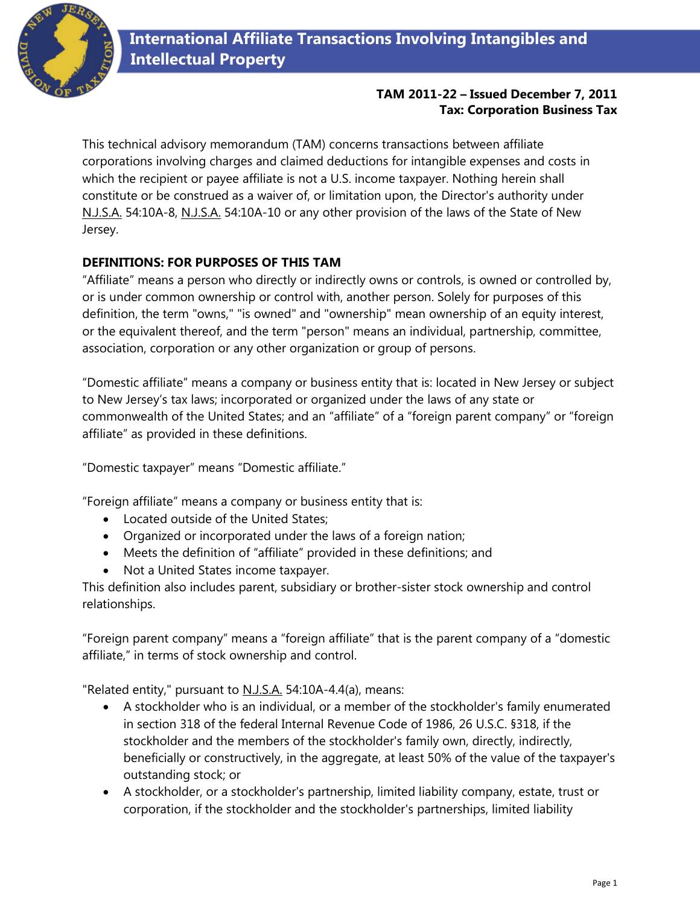

## **TAM 2011-22 – Issued December 7, 2011 Tax: Corporation Business Tax**

This technical advisory memorandum (TAM) concerns transactions between affiliate corporations involving charges and claimed deductions for intangible expenses and costs in which the recipient or payee affiliate is not a U.S. income taxpayer. Nothing herein shall constitute or be construed as a waiver of, or limitation upon, the Director's authority under N.J.S.A. 54:10A-8, N.J.S.A. 54:10A-10 or any other provision of the laws of the State of New Jersey.

# **DEFINITIONS: FOR PURPOSES OF THIS TAM**

"Affiliate" means a person who directly or indirectly owns or controls, is owned or controlled by, or is under common ownership or control with, another person. Solely for purposes of this definition, the term "owns," "is owned" and "ownership" mean ownership of an equity interest, or the equivalent thereof, and the term "person" means an individual, partnership, committee, association, corporation or any other organization or group of persons.

"Domestic affiliate" means a company or business entity that is: located in New Jersey or subject to New Jersey's tax laws; incorporated or organized under the laws of any state or commonwealth of the United States; and an "affiliate" of a "foreign parent company" or "foreign affiliate" as provided in these definitions.

"Domestic taxpayer" means "Domestic affiliate."

"Foreign affiliate" means a company or business entity that is:

- Located outside of the United States;
- Organized or incorporated under the laws of a foreign nation;
- Meets the definition of "affiliate" provided in these definitions; and
- Not a United States income taxpayer.

This definition also includes parent, subsidiary or brother-sister stock ownership and control relationships.

"Foreign parent company" means a "foreign affiliate" that is the parent company of a "domestic affiliate," in terms of stock ownership and control.

"Related entity," pursuant to N.J.S.A. 54:10A-4.4(a), means:

- A stockholder who is an individual, or a member of the stockholder's family enumerated in section 318 of the federal Internal Revenue Code of 1986, 26 U.S.C. §318, if the stockholder and the members of the stockholder's family own, directly, indirectly, beneficially or constructively, in the aggregate, at least 50% of the value of the taxpayer's outstanding stock; or
- A stockholder, or a stockholder's partnership, limited liability company, estate, trust or corporation, if the stockholder and the stockholder's partnerships, limited liability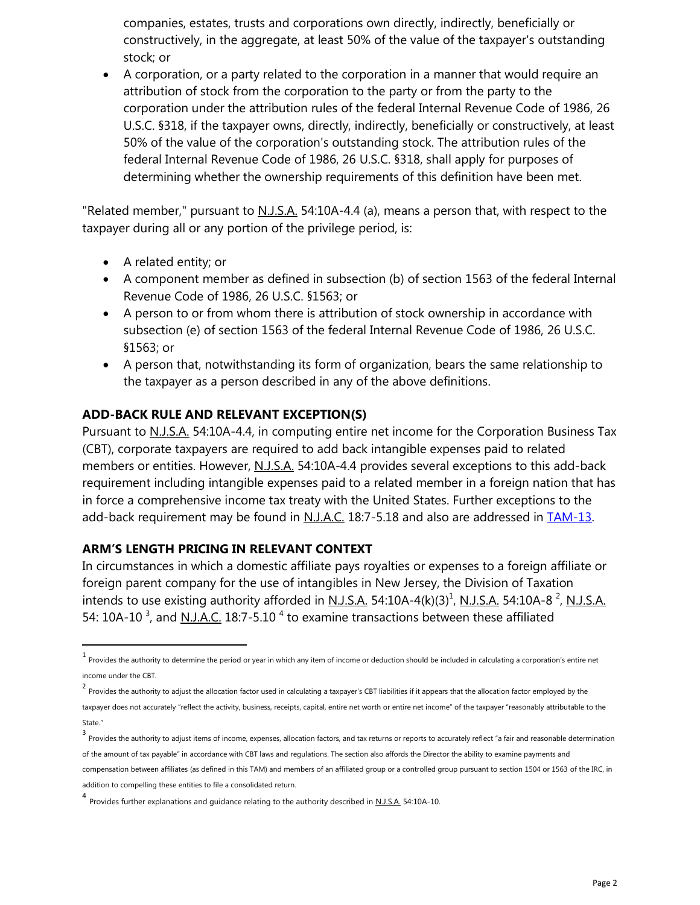companies, estates, trusts and corporations own directly, indirectly, beneficially or constructively, in the aggregate, at least 50% of the value of the taxpayer's outstanding stock; or

 A corporation, or a party related to the corporation in a manner that would require an attribution of stock from the corporation to the party or from the party to the corporation under the attribution rules of the federal Internal Revenue Code of 1986, 26 U.S.C. §318, if the taxpayer owns, directly, indirectly, beneficially or constructively, at least 50% of the value of the corporation's outstanding stock. The attribution rules of the federal Internal Revenue Code of 1986, 26 U.S.C. §318, shall apply for purposes of determining whether the ownership requirements of this definition have been met.

"Related member," pursuant to N.J.S.A. 54:10A-4.4 (a), means a person that, with respect to the taxpayer during all or any portion of the privilege period, is:

A related entity; or

 $\overline{\phantom{a}}$ 

- A component member as defined in subsection (b) of section 1563 of the federal Internal Revenue Code of 1986, 26 U.S.C. §1563; or
- A person to or from whom there is attribution of stock ownership in accordance with subsection (e) of section 1563 of the federal Internal Revenue Code of 1986, 26 U.S.C. §1563; or
- A person that, notwithstanding its form of organization, bears the same relationship to the taxpayer as a person described in any of the above definitions.

## **ADD-BACK RULE AND RELEVANT EXCEPTION(S)**

Pursuant to <u>N.J.S.A.</u> 54:10A-4.4, in computing entire net income for the Corporation Business Tax (CBT), corporate taxpayers are required to add back intangible expenses paid to related members or entities. However, N.J.S.A. 54:10A-4.4 provides several exceptions to this add-back requirement including intangible expenses paid to a related member in a foreign nation that has in force a comprehensive income tax treaty with the United States. Further exceptions to the add-back requirement may be found in N.J.A.C. 18:7-5.18 and also are addressed in **TAM-13.** 

#### **ARM'S LENGTH PRICING IN RELEVANT CONTEXT**

In circumstances in which a domestic affiliate pays royalties or expenses to a foreign affiliate or foreign parent company for the use of intangibles in New Jersey, the Division of Taxation intends to use existing authority afforded in <u>N.J.S.A.</u> 54:10A-4(k)(3)<sup>1</sup>, <u>N.J.S.A.</u> 54:10A-8 <sup>2</sup>, <u>N.J.S.A.</u> 54: 10A-10<sup>3</sup>, and <u>N.J.A.C.</u> 18:7-5.10<sup>4</sup> to examine transactions between these affiliated

<sup>&</sup>lt;sup>1</sup> Provides the authority to determine the period or year in which any item of income or deduction should be included in calculating a corporation's entire net income under the CBT.

<sup>2</sup> Provides the authority to adjust the allocation factor used in calculating a taxpayer's CBT liabilities if it appears that the allocation factor employed by the taxpayer does not accurately "reflect the activity, business, receipts, capital, entire net worth or entire net income" of the taxpayer "reasonably attributable to the State."

<sup>3&</sup>lt;br>Provides the authority to adjust items of income, expenses, allocation factors, and tax returns or reports to accurately reflect "a fair and reasonable determination of the amount of tax payable" in accordance with CBT laws and regulations. The section also affords the Director the ability to examine payments and compensation between affiliates (as defined in this TAM) and members of an affiliated group or a controlled group pursuant to section 1504 or 1563 of the IRC, in addition to compelling these entities to file a consolidated return.

<sup>4&</sup>lt;br>Provides further explanations and guidance relating to the authority described in <u>N.J.S.A.</u> 54:10A-10.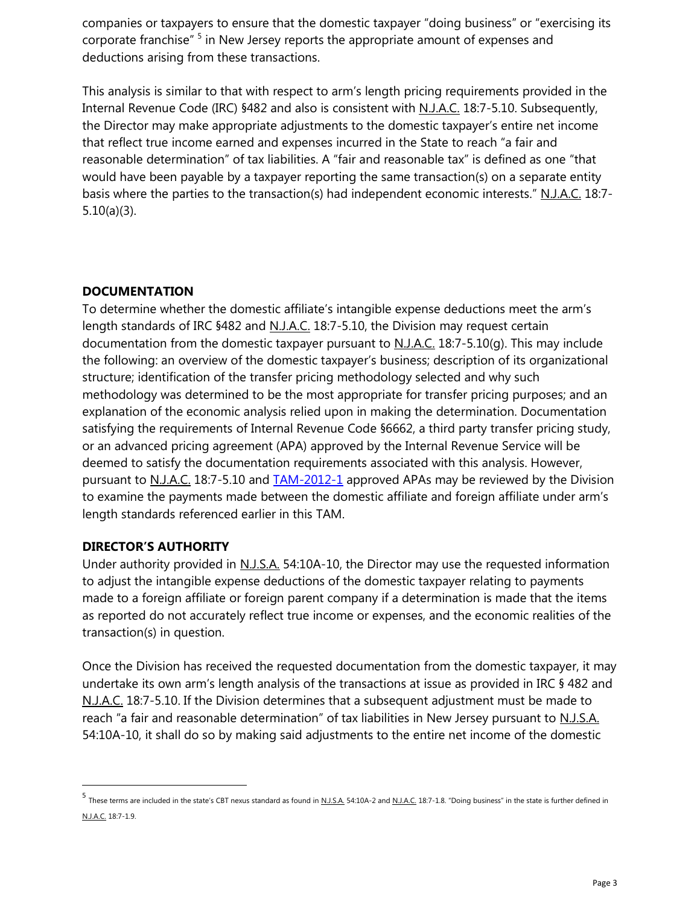companies or taxpayers to ensure that the domestic taxpayer "doing business" or "exercising its corporate franchise" <sup>5</sup> in New Jersey reports the appropriate amount of expenses and deductions arising from these transactions.

This analysis is similar to that with respect to arm's length pricing requirements provided in the Internal Revenue Code (IRC) §482 and also is consistent with N.J.A.C. 18:7-5.10. Subsequently, the Director may make appropriate adjustments to the domestic taxpayer's entire net income that reflect true income earned and expenses incurred in the State to reach "a fair and reasonable determination" of tax liabilities. A "fair and reasonable tax" is defined as one "that would have been payable by a taxpayer reporting the same transaction(s) on a separate entity basis where the parties to the transaction(s) had independent economic interests." N.J.A.C. 18:7-5.10(a)(3).

#### **DOCUMENTATION**

To determine whether the domestic affiliate's intangible expense deductions meet the arm's length standards of IRC §482 and N.J.A.C. 18:7-5.10, the Division may request certain documentation from the domestic taxpayer pursuant to N.J.A.C.  $18:7-5.10(q)$ . This may include the following: an overview of the domestic taxpayer's business; description of its organizational structure; identification of the transfer pricing methodology selected and why such methodology was determined to be the most appropriate for transfer pricing purposes; and an explanation of the economic analysis relied upon in making the determination. Documentation satisfying the requirements of Internal Revenue Code §6662, a third party transfer pricing study, or an advanced pricing agreement (APA) approved by the Internal Revenue Service will be deemed to satisfy the documentation requirements associated with this analysis. However, pursuant to N.J.A.C. 18:7-5.10 and [TAM-2012-1](http://www.state.nj.us/treasury/taxation/pdf/pubs/tams/tam2012-1.pdf) approved APAs may be reviewed by the Division to examine the payments made between the domestic affiliate and foreign affiliate under arm's length standards referenced earlier in this TAM.

#### **DIRECTOR'S AUTHORITY**

l

Under authority provided in N.J.S.A. 54:10A-10, the Director may use the requested information to adjust the intangible expense deductions of the domestic taxpayer relating to payments made to a foreign affiliate or foreign parent company if a determination is made that the items as reported do not accurately reflect true income or expenses, and the economic realities of the transaction(s) in question.

Once the Division has received the requested documentation from the domestic taxpayer, it may undertake its own arm's length analysis of the transactions at issue as provided in IRC § 482 and N.J.A.C. 18:7-5.10. If the Division determines that a subsequent adjustment must be made to reach "a fair and reasonable determination" of tax liabilities in New Jersey pursuant to N.J.S.A. 54:10A-10, it shall do so by making said adjustments to the entire net income of the domestic

<sup>5&</sup>lt;br>These terms are included in the state's CBT nexus standard as found in <u>N.J.S.A.</u> 54:10A-2 and <u>N.J.A.C.</u> 18:7-1.8. "Doing business" in the state is further defined in N.J.A.C. 18:7-1.9.